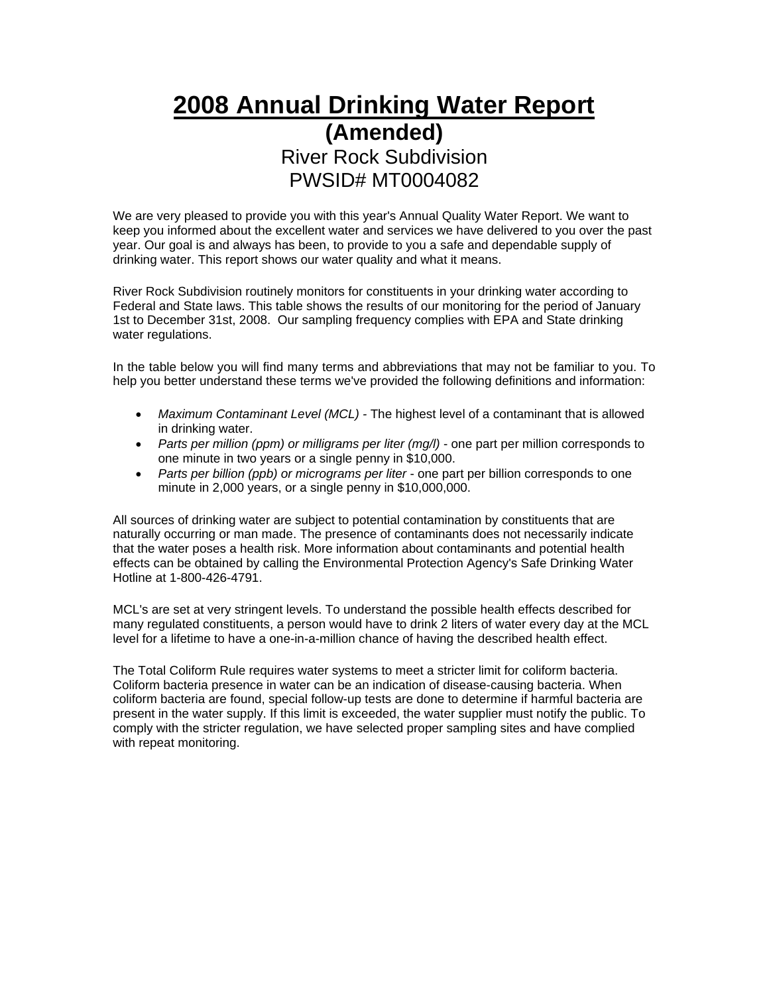## **2008 Annual Drinking Water Report (Amended)**  River Rock Subdivision PWSID# MT0004082

We are very pleased to provide you with this year's Annual Quality Water Report. We want to keep you informed about the excellent water and services we have delivered to you over the past year. Our goal is and always has been, to provide to you a safe and dependable supply of drinking water. This report shows our water quality and what it means.

River Rock Subdivision routinely monitors for constituents in your drinking water according to Federal and State laws. This table shows the results of our monitoring for the period of January 1st to December 31st, 2008. Our sampling frequency complies with EPA and State drinking water regulations.

In the table below you will find many terms and abbreviations that may not be familiar to you. To help you better understand these terms we've provided the following definitions and information:

- *Maximum Contaminant Level (MCL) -* The highest level of a contaminant that is allowed in drinking water.
- *Parts per million (ppm) or milligrams per liter (mg/l)* one part per million corresponds to one minute in two years or a single penny in \$10,000.
- *Parts per billion (ppb) or micrograms per liter* one part per billion corresponds to one minute in 2,000 years, or a single penny in \$10,000,000.

All sources of drinking water are subject to potential contamination by constituents that are naturally occurring or man made. The presence of contaminants does not necessarily indicate that the water poses a health risk. More information about contaminants and potential health effects can be obtained by calling the Environmental Protection Agency's Safe Drinking Water Hotline at 1-800-426-4791.

MCL's are set at very stringent levels. To understand the possible health effects described for many regulated constituents, a person would have to drink 2 liters of water every day at the MCL level for a lifetime to have a one-in-a-million chance of having the described health effect.

The Total Coliform Rule requires water systems to meet a stricter limit for coliform bacteria. Coliform bacteria presence in water can be an indication of disease-causing bacteria. When coliform bacteria are found, special follow-up tests are done to determine if harmful bacteria are present in the water supply. If this limit is exceeded, the water supplier must notify the public. To comply with the stricter regulation, we have selected proper sampling sites and have complied with repeat monitoring.